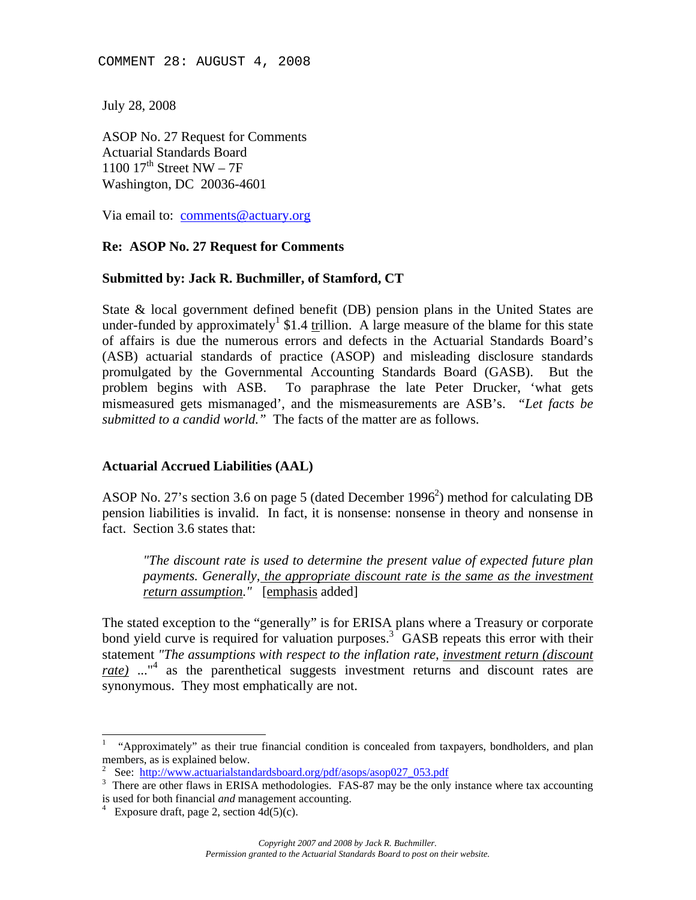COMMENT 28: AUGUST 4, 2008

July 28, 2008

ASOP No. 27 Request for Comments Actuarial Standards Board 1100  $17^{\text{th}}$  Street NW – 7F Washington, DC 20036-4601

Via email to: comments@actuary.org

### **Re: ASOP No. 27 Request for Comments**

#### **Submitted by: Jack R. Buchmiller, of Stamford, CT**

State & local government defined benefit (DB) pension plans in the United States are under-funded by approximately<sup>1</sup> \$1.4 trillion. A large measure of the blame for this state of affairs is due the numerous errors and defects in the Actuarial Standards Board's (ASB) actuarial standards of practice (ASOP) and misleading disclosure standards promulgated by the Governmental Accounting Standards Board (GASB). But the problem begins with ASB. To paraphrase the late Peter Drucker, 'what gets mismeasured gets mismanaged', and the mismeasurements are ASB's. *"Let facts be submitted to a candid world."* The facts of the matter are as follows.

### **Actuarial Accrued Liabilities (AAL)**

ASOP No. 27's section 3.6 on page 5 (dated December 1996<sup>2</sup>) method for calculating DB pension liabilities is invalid. In fact, it is nonsense: nonsense in theory and nonsense in fact. Section 3.6 states that:

*"The discount rate is used to determine the present value of expected future plan payments. Generally, the appropriate discount rate is the same as the investment return assumption."* [emphasis added]

The stated exception to the "generally" is for ERISA plans where a Treasury or corporate bond yield curve is required for valuation purposes.<sup>3</sup> GASB repeats this error with their statement *"The assumptions with respect to the inflation rate, investment return (discount rate)* ..."<sup>4</sup> as the parenthetical suggests investment returns and discount rates are synonymous. They most emphatically are not.

l

<sup>1</sup> "Approximately" as their true financial condition is concealed from taxpayers, bondholders, and plan members, as is explained below.

<sup>2</sup> See: http://www.actuarialstandardsboard.org/pdf/asops/asop027\_053.pdf

<sup>&</sup>lt;sup>3</sup> There are other flaws in ERISA methodologies. FAS-87 may be the only instance where tax accounting is used for both financial *and* management accounting.

Exposure draft, page 2, section  $4d(5)(c)$ .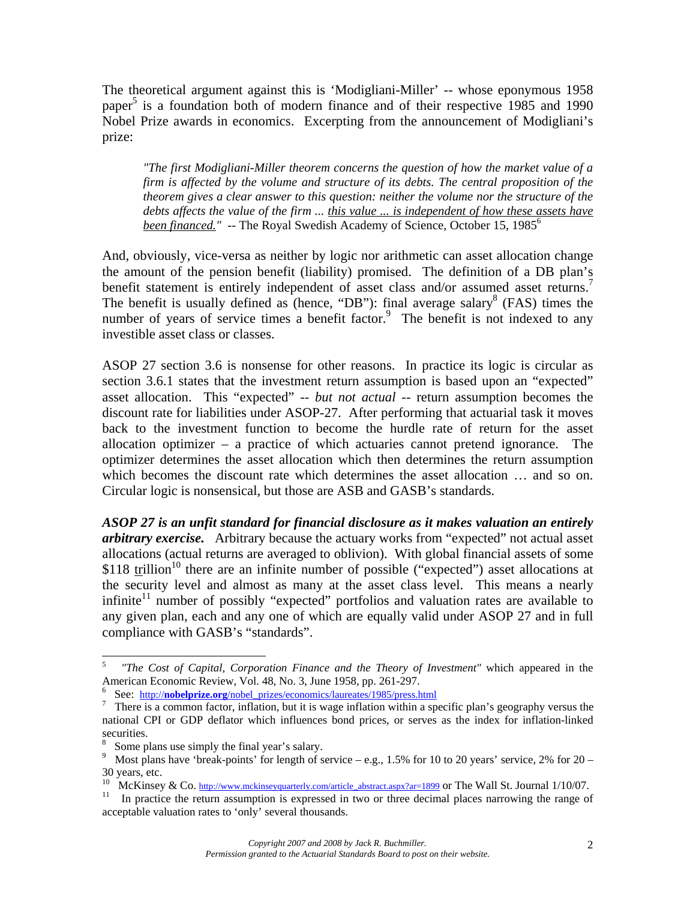The theoretical argument against this is 'Modigliani-Miller' -- whose eponymous 1958 paper<sup>5</sup> is a foundation both of modern finance and of their respective 1985 and 1990 Nobel Prize awards in economics. Excerpting from the announcement of Modigliani's prize:

*"The first Modigliani-Miller theorem concerns the question of how the market value of a firm is affected by the volume and structure of its debts. The central proposition of the theorem gives a clear answer to this question: neither the volume nor the structure of the debts affects the value of the firm ... this value ... is independent of how these assets have been financed.*" -- The Royal Swedish Academy of Science, October 15, 1985<sup>6</sup>

And, obviously, vice-versa as neither by logic nor arithmetic can asset allocation change the amount of the pension benefit (liability) promised. The definition of a DB plan's benefit statement is entirely independent of asset class and/or assumed asset returns.<sup>7</sup> The benefit is usually defined as (hence, "DB"): final average salary<sup>8</sup> (FAS) times the number of years of service times a benefit factor. $9$  The benefit is not indexed to any investible asset class or classes.

ASOP 27 section 3.6 is nonsense for other reasons. In practice its logic is circular as section 3.6.1 states that the investment return assumption is based upon an "expected" asset allocation. This "expected" -- *but not actual* -- return assumption becomes the discount rate for liabilities under ASOP-27. After performing that actuarial task it moves back to the investment function to become the hurdle rate of return for the asset allocation optimizer – a practice of which actuaries cannot pretend ignorance. The optimizer determines the asset allocation which then determines the return assumption which becomes the discount rate which determines the asset allocation … and so on. Circular logic is nonsensical, but those are ASB and GASB's standards.

*ASOP 27 is an unfit standard for financial disclosure as it makes valuation an entirely arbitrary exercise.* Arbitrary because the actuary works from "expected" not actual asset allocations (actual returns are averaged to oblivion). With global financial assets of some  $$118$  trillion<sup>10</sup> there are an infinite number of possible ("expected") asset allocations at the security level and almost as many at the asset class level. This means a nearly infinite $11$  number of possibly "expected" portfolios and valuation rates are available to any given plan, each and any one of which are equally valid under ASOP 27 and in full compliance with GASB's "standards".

<sup>5</sup> *"The Cost of Capital, Corporation Finance and the Theory of Investment"* which appeared in the American Economic Review, Vol. 48, No. 3, June 1958, pp. 261-297.

<sup>6</sup> See: http://nobelprize.org/nobel\_prizes/economics/laureates/1985/press.html

<sup>&</sup>lt;sup>7</sup> There is a common factor, inflation, but it is wage inflation within a specific plan's geography versus the national CPI or GDP deflator which influences bond prices, or serves as the index for inflation-linked securities.

<sup>8</sup> Some plans use simply the final year's salary.

<sup>&</sup>lt;sup>9</sup> Most plans have 'break-points' for length of service – e.g., 1.5% for 10 to 20 years' service, 2% for 20 – 30 years, etc.

<sup>&</sup>lt;sup>10</sup> McKinsey & Co. http://www.mckinseyquarterly.com/article\_abstract.aspx?ar=1899 or The Wall St. Journal 1/10/07.<br><sup>11</sup> In practice the return assumption is expressed in two or three decimal places narrowing the range of acceptable valuation rates to 'only' several thousands.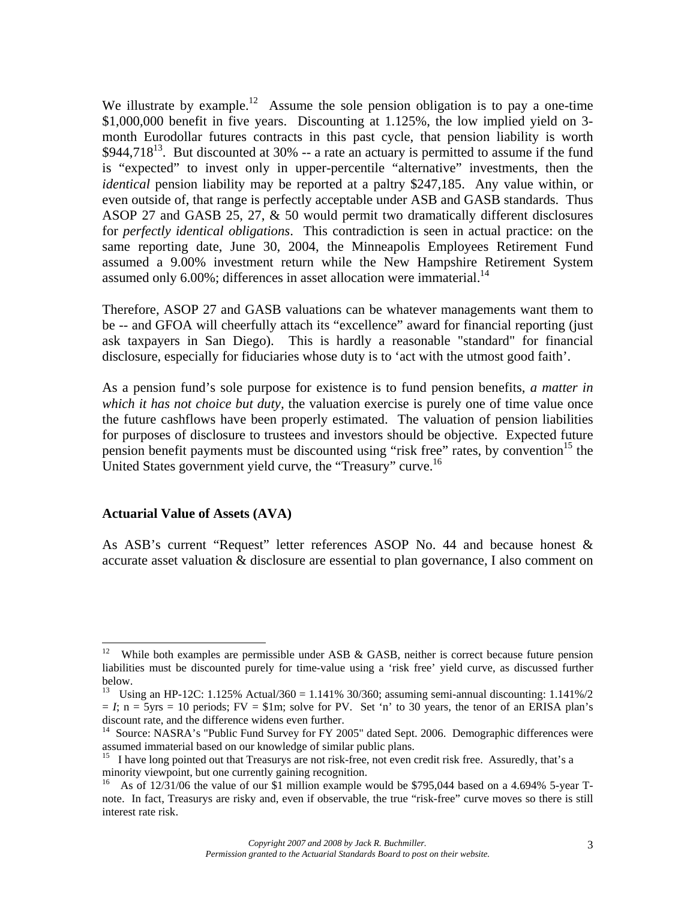We illustrate by example.<sup>12</sup> Assume the sole pension obligation is to pay a one-time \$1,000,000 benefit in five years. Discounting at 1.125%, the low implied yield on 3 month Eurodollar futures contracts in this past cycle, that pension liability is worth  $$944,718^{13}$ . But discounted at 30% -- a rate an actuary is permitted to assume if the fund is "expected" to invest only in upper-percentile "alternative" investments, then the *identical* pension liability may be reported at a paltry \$247,185. Any value within, or even outside of, that range is perfectly acceptable under ASB and GASB standards. Thus ASOP 27 and GASB 25, 27, & 50 would permit two dramatically different disclosures for *perfectly identical obligations*. This contradiction is seen in actual practice: on the same reporting date, June 30, 2004, the Minneapolis Employees Retirement Fund assumed a 9.00% investment return while the New Hampshire Retirement System assumed only  $6.00\%$ ; differences in asset allocation were immaterial.<sup>14</sup>

Therefore, ASOP 27 and GASB valuations can be whatever managements want them to be -- and GFOA will cheerfully attach its "excellence" award for financial reporting (just ask taxpayers in San Diego). This is hardly a reasonable "standard" for financial disclosure, especially for fiduciaries whose duty is to 'act with the utmost good faith'.

As a pension fund's sole purpose for existence is to fund pension benefits, *a matter in which it has not choice but duty,* the valuation exercise is purely one of time value once the future cashflows have been properly estimated. The valuation of pension liabilities for purposes of disclosure to trustees and investors should be objective. Expected future pension benefit payments must be discounted using "risk free" rates, by convention<sup>15</sup> the United States government yield curve, the "Treasury" curve.<sup>16</sup>

#### **Actuarial Value of Assets (AVA)**

As ASB's current "Request" letter references ASOP No. 44 and because honest & accurate asset valuation & disclosure are essential to plan governance, I also comment on

 $12\,$ While both examples are permissible under ASB  $\&$  GASB, neither is correct because future pension liabilities must be discounted purely for time-value using a 'risk free' yield curve, as discussed further below.

<sup>13</sup> Using an HP-12C: 1.125% Actual/360 = 1.141% 30/360; assuming semi-annual discounting: 1.141%/2  $= I$ ; n  $= 5$ yrs  $= 10$  periods; FV  $= $1$ m; solve for PV. Set 'n' to 30 years, the tenor of an ERISA plan's discount rate, and the difference widens even further.

<sup>&</sup>lt;sup>14</sup> Source: NASRA's "Public Fund Survey for FY 2005" dated Sept. 2006. Demographic differences were assumed immaterial based on our knowledge of similar public plans.

<sup>&</sup>lt;sup>15</sup> I have long pointed out that Treasurys are not risk-free, not even credit risk free. Assuredly, that's a minority viewpoint, but one currently gaining recognition.

<sup>&</sup>lt;sup>16</sup> As of 12/31/06 the value of our \$1 million example would be \$795,044 based on a 4.694% 5-year Tnote. In fact, Treasurys are risky and, even if observable, the true "risk-free" curve moves so there is still interest rate risk.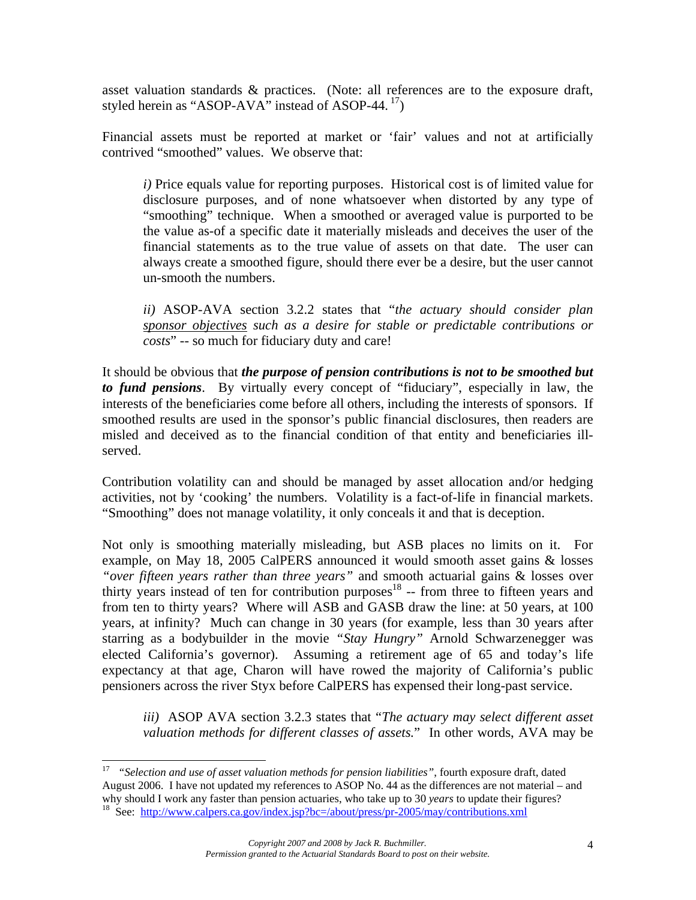asset valuation standards & practices. (Note: all references are to the exposure draft, styled herein as "ASOP-AVA" instead of ASOP-44. $^{17}$ )

Financial assets must be reported at market or 'fair' values and not at artificially contrived "smoothed" values. We observe that:

*i)* Price equals value for reporting purposes. Historical cost is of limited value for disclosure purposes, and of none whatsoever when distorted by any type of "smoothing" technique. When a smoothed or averaged value is purported to be the value as-of a specific date it materially misleads and deceives the user of the financial statements as to the true value of assets on that date. The user can always create a smoothed figure, should there ever be a desire, but the user cannot un-smooth the numbers.

*ii)* ASOP-AVA section 3.2.2 states that "*the actuary should consider plan sponsor objectives such as a desire for stable or predictable contributions or costs*" -- so much for fiduciary duty and care!

It should be obvious that *the purpose of pension contributions is not to be smoothed but to fund pensions*. By virtually every concept of "fiduciary", especially in law, the interests of the beneficiaries come before all others, including the interests of sponsors. If smoothed results are used in the sponsor's public financial disclosures, then readers are misled and deceived as to the financial condition of that entity and beneficiaries illserved.

Contribution volatility can and should be managed by asset allocation and/or hedging activities, not by 'cooking' the numbers. Volatility is a fact-of-life in financial markets. "Smoothing" does not manage volatility, it only conceals it and that is deception.

Not only is smoothing materially misleading, but ASB places no limits on it. For example, on May 18, 2005 CalPERS announced it would smooth asset gains & losses *"over fifteen years rather than three years"* and smooth actuarial gains & losses over thirty years instead of ten for contribution purposes<sup>18</sup> -- from three to fifteen years and from ten to thirty years? Where will ASB and GASB draw the line: at 50 years, at 100 years, at infinity? Much can change in 30 years (for example, less than 30 years after starring as a bodybuilder in the movie *"Stay Hungry"* Arnold Schwarzenegger was elected California's governor). Assuming a retirement age of 65 and today's life expectancy at that age, Charon will have rowed the majority of California's public pensioners across the river Styx before CalPERS has expensed their long-past service.

*iii)* ASOP AVA section 3.2.3 states that "*The actuary may select different asset valuation methods for different classes of assets.*" In other words, AVA may be

<sup>17</sup> *"Selection and use of asset valuation methods for pension liabilities"*, fourth exposure draft, dated August 2006. I have not updated my references to ASOP No. 44 as the differences are not material – and why should I work any faster than pension actuaries, who take up to 30 *years* to update their figures?<br><sup>18</sup> See: http://www.calpers.ca.gov/index.jsp?bc=/about/press/pr-2005/may/contributions.xml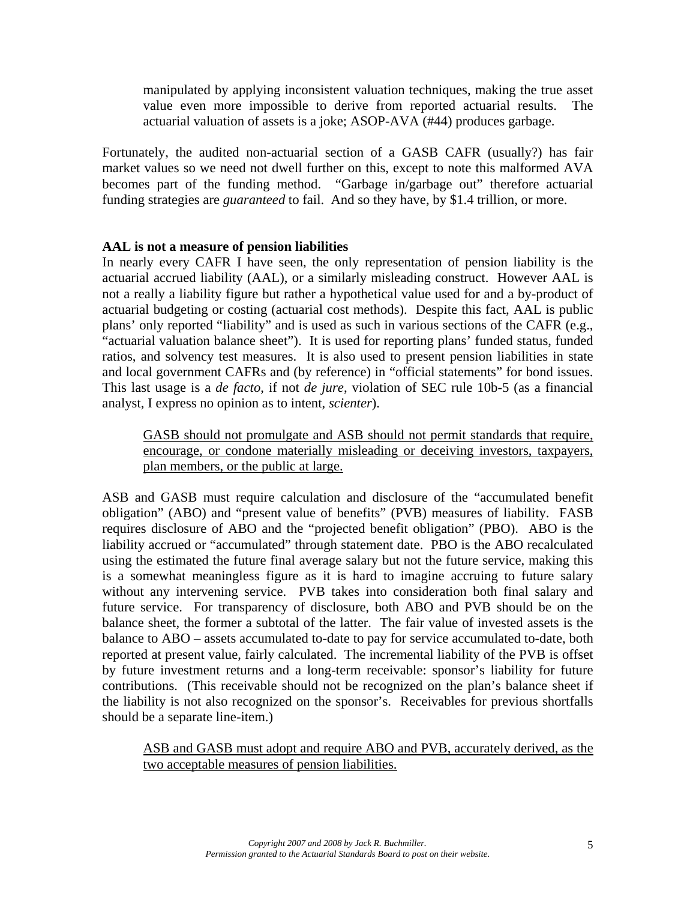manipulated by applying inconsistent valuation techniques, making the true asset value even more impossible to derive from reported actuarial results. The actuarial valuation of assets is a joke; ASOP-AVA (#44) produces garbage.

Fortunately, the audited non-actuarial section of a GASB CAFR (usually?) has fair market values so we need not dwell further on this, except to note this malformed AVA becomes part of the funding method. "Garbage in/garbage out" therefore actuarial funding strategies are *guaranteed* to fail. And so they have, by \$1.4 trillion, or more.

### **AAL is not a measure of pension liabilities**

In nearly every CAFR I have seen, the only representation of pension liability is the actuarial accrued liability (AAL), or a similarly misleading construct. However AAL is not a really a liability figure but rather a hypothetical value used for and a by-product of actuarial budgeting or costing (actuarial cost methods). Despite this fact, AAL is public plans' only reported "liability" and is used as such in various sections of the CAFR (e.g., "actuarial valuation balance sheet"). It is used for reporting plans' funded status, funded ratios, and solvency test measures. It is also used to present pension liabilities in state and local government CAFRs and (by reference) in "official statements" for bond issues. This last usage is a *de facto*, if not *de jure*, violation of SEC rule 10b-5 (as a financial analyst, I express no opinion as to intent, *scienter*).

GASB should not promulgate and ASB should not permit standards that require, encourage, or condone materially misleading or deceiving investors, taxpayers, plan members, or the public at large.

ASB and GASB must require calculation and disclosure of the "accumulated benefit obligation" (ABO) and "present value of benefits" (PVB) measures of liability. FASB requires disclosure of ABO and the "projected benefit obligation" (PBO). ABO is the liability accrued or "accumulated" through statement date. PBO is the ABO recalculated using the estimated the future final average salary but not the future service, making this is a somewhat meaningless figure as it is hard to imagine accruing to future salary without any intervening service. PVB takes into consideration both final salary and future service. For transparency of disclosure, both ABO and PVB should be on the balance sheet, the former a subtotal of the latter. The fair value of invested assets is the balance to ABO – assets accumulated to-date to pay for service accumulated to-date, both reported at present value, fairly calculated. The incremental liability of the PVB is offset by future investment returns and a long-term receivable: sponsor's liability for future contributions. (This receivable should not be recognized on the plan's balance sheet if the liability is not also recognized on the sponsor's. Receivables for previous shortfalls should be a separate line-item.)

ASB and GASB must adopt and require ABO and PVB, accurately derived, as the two acceptable measures of pension liabilities.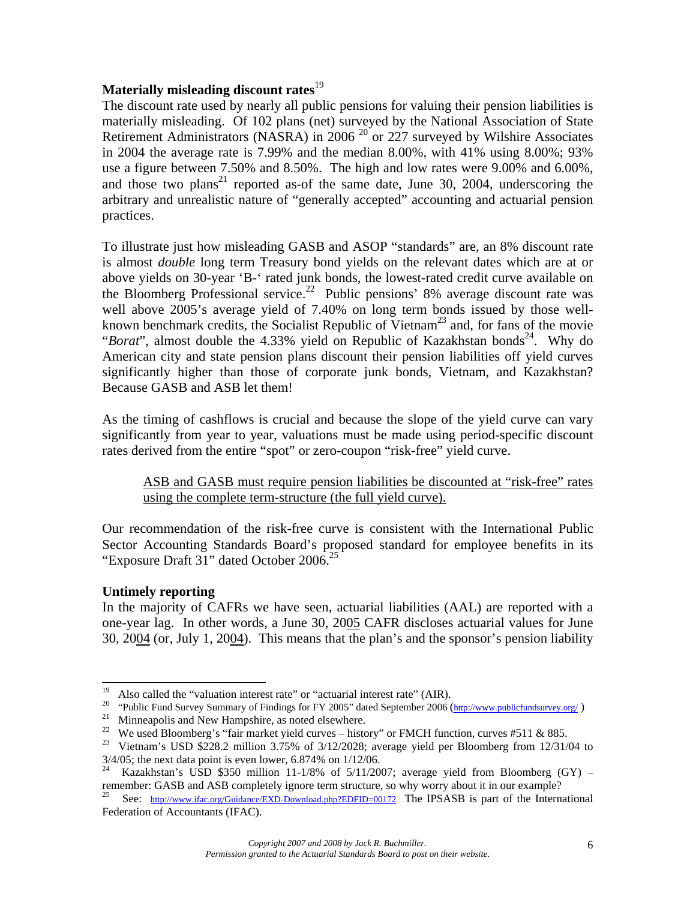# **Materially misleading discount rates**<sup>19</sup>

The discount rate used by nearly all public pensions for valuing their pension liabilities is materially misleading. Of 102 plans (net) surveyed by the National Association of State Retirement Administrators (NASRA) in 2006<sup>20</sup> or 227 surveyed by Wilshire Associates in 2004 the average rate is 7.99% and the median 8.00%, with 41% using 8.00%; 93% use a figure between 7.50% and 8.50%. The high and low rates were 9.00% and 6.00%, and those two plans<sup>21</sup> reported as-of the same date, June 30, 2004, underscoring the arbitrary and unrealistic nature of "generally accepted" accounting and actuarial pension practices.

To illustrate just how misleading GASB and ASOP "standards" are, an 8% discount rate is almost *double* long term Treasury bond yields on the relevant dates which are at or above yields on 30-year 'B-' rated junk bonds, the lowest-rated credit curve available on the Bloomberg Professional service.<sup>22</sup> Public pensions' 8% average discount rate was well above 2005's average yield of 7.40% on long term bonds issued by those wellknown benchmark credits, the Socialist Republic of Vietnam<sup>23</sup> and, for fans of the movie "*Borat*", almost double the 4.33% yield on Republic of Kazakhstan bonds<sup>24</sup>. Why do American city and state pension plans discount their pension liabilities off yield curves significantly higher than those of corporate junk bonds, Vietnam, and Kazakhstan? Because GASB and ASB let them!

As the timing of cashflows is crucial and because the slope of the yield curve can vary significantly from year to year, valuations must be made using period-specific discount rates derived from the entire "spot" or zero-coupon "risk-free" yield curve.

## ASB and GASB must require pension liabilities be discounted at "risk-free" rates using the complete term-structure (the full yield curve).

Our recommendation of the risk-free curve is consistent with the International Public Sector Accounting Standards Board's proposed standard for employee benefits in its "Exposure Draft 31" dated October 2006.<sup>25</sup>

# **Untimely reporting**

In the majority of CAFRs we have seen, actuarial liabilities (AAL) are reported with a one-year lag. In other words, a June 30, 2005 CAFR discloses actuarial values for June 30, 2004 (or, July 1, 2004). This means that the plan's and the sponsor's pension liability

<sup>19</sup> 

<sup>&</sup>lt;sup>19</sup> Also called the "valuation interest rate" or "actuarial interest rate" (AIR).<br><sup>20</sup> "Public Fund Survey Summary of Findings for FY 2005" dated September 2006 (http://www.publicfundsurvey.org/)<br><sup>21</sup> Minneapolis and New

<sup>&</sup>lt;sup>23</sup> Vietnam's USD \$228.2 million 3.75% of 3/12/2028; average yield per Bloomberg from 12/31/04 to 3/4/05; the next data point is even lower, 6.874% on 1/12/06.

Kazakhstan's USD \$350 million 11-1/8% of  $5/11/2007$ ; average yield from Bloomberg (GY) – remember: GASB and ASB completely ignore term structure, so why worry about it in our example?<br><sup>25</sup> See: http://www.ifac.org/Guidance/EXD-Download.php?EDFID=00172 The IPSASB is part of the International

Federation of Accountants (IFAC).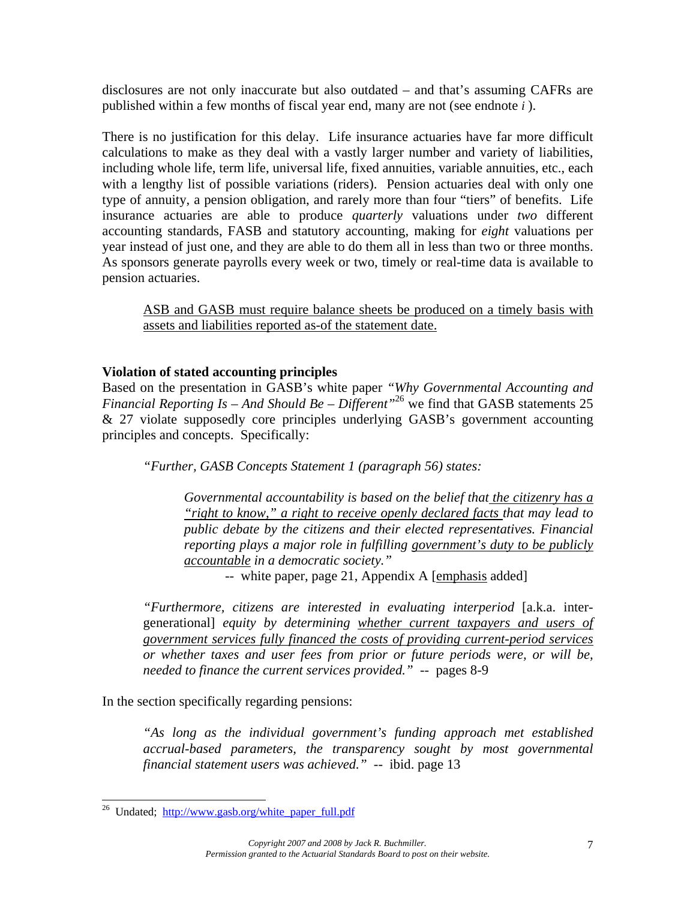disclosures are not only inaccurate but also outdated – and that's assuming CAFRs are published within a few months of fiscal year end, many are not (see endnote *i* ).

There is no justification for this delay. Life insurance actuaries have far more difficult calculations to make as they deal with a vastly larger number and variety of liabilities, including whole life, term life, universal life, fixed annuities, variable annuities, etc., each with a lengthy list of possible variations (riders). Pension actuaries deal with only one type of annuity, a pension obligation, and rarely more than four "tiers" of benefits. Life insurance actuaries are able to produce *quarterly* valuations under *two* different accounting standards, FASB and statutory accounting, making for *eight* valuations per year instead of just one, and they are able to do them all in less than two or three months. As sponsors generate payrolls every week or two, timely or real-time data is available to pension actuaries.

ASB and GASB must require balance sheets be produced on a timely basis with assets and liabilities reported as-of the statement date.

## **Violation of stated accounting principles**

Based on the presentation in GASB's white paper *"Why Governmental Accounting and Financial Reporting Is – And Should Be – Different*<sup>26</sup> we find that GASB statements 25 & 27 violate supposedly core principles underlying GASB's government accounting principles and concepts. Specifically:

*"Further, GASB Concepts Statement 1 (paragraph 56) states:* 

*Governmental accountability is based on the belief that the citizenry has a "right to know," a right to receive openly declared facts that may lead to public debate by the citizens and their elected representatives. Financial reporting plays a major role in fulfilling government's duty to be publicly accountable in a democratic society."* 

-- white paper, page 21, Appendix A [emphasis added]

*"Furthermore, citizens are interested in evaluating interperiod* [a.k.a. intergenerational] *equity by determining whether current taxpayers and users of government services fully financed the costs of providing current-period services or whether taxes and user fees from prior or future periods were, or will be, needed to finance the current services provided."* -- pages 8-9

In the section specifically regarding pensions:

*"As long as the individual government's funding approach met established accrual-based parameters, the transparency sought by most governmental financial statement users was achieved."* -- ibid. page 13

<sup>&</sup>lt;sup>26</sup> Undated; http://www.gasb.org/white\_paper\_full.pdf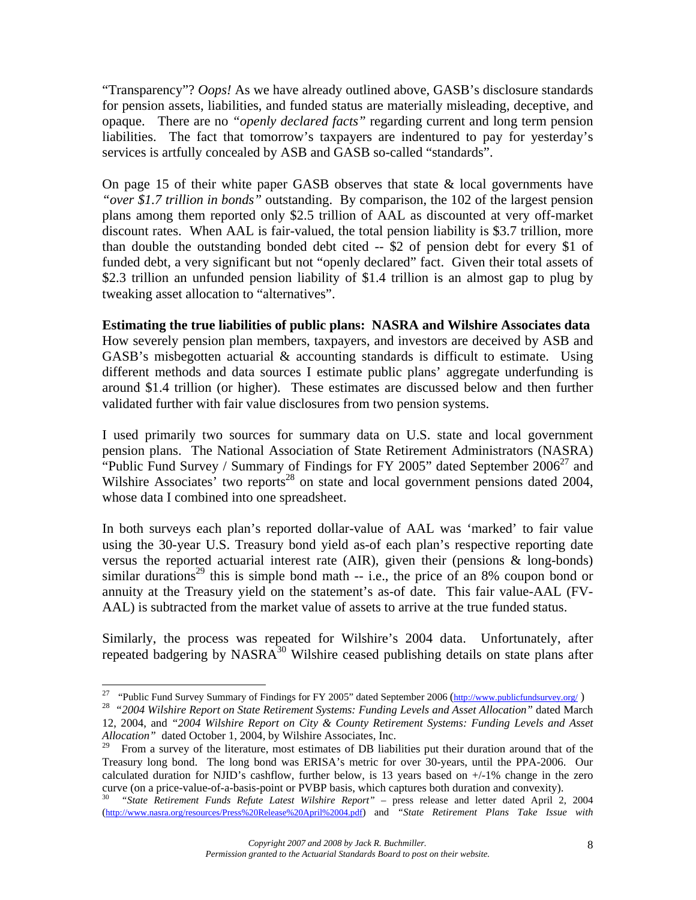"Transparency"? *Oops!* As we have already outlined above, GASB's disclosure standards for pension assets, liabilities, and funded status are materially misleading, deceptive, and opaque. There are no *"openly declared facts"* regarding current and long term pension liabilities. The fact that tomorrow's taxpayers are indentured to pay for yesterday's services is artfully concealed by ASB and GASB so-called "standards".

On page 15 of their white paper GASB observes that state & local governments have *"over \$1.7 trillion in bonds"* outstanding. By comparison, the 102 of the largest pension plans among them reported only \$2.5 trillion of AAL as discounted at very off-market discount rates. When AAL is fair-valued, the total pension liability is \$3.7 trillion, more than double the outstanding bonded debt cited -- \$2 of pension debt for every \$1 of funded debt, a very significant but not "openly declared" fact. Given their total assets of \$2.3 trillion an unfunded pension liability of \$1.4 trillion is an almost gap to plug by tweaking asset allocation to "alternatives".

## **Estimating the true liabilities of public plans: NASRA and Wilshire Associates data**

How severely pension plan members, taxpayers, and investors are deceived by ASB and GASB's misbegotten actuarial & accounting standards is difficult to estimate. Using different methods and data sources I estimate public plans' aggregate underfunding is around \$1.4 trillion (or higher). These estimates are discussed below and then further validated further with fair value disclosures from two pension systems.

I used primarily two sources for summary data on U.S. state and local government pension plans. The National Association of State Retirement Administrators (NASRA) "Public Fund Survey / Summary of Findings for FY 2005" dated September  $2006^{27}$  and Wilshire Associates' two reports<sup>28</sup> on state and local government pensions dated 2004, whose data I combined into one spreadsheet.

In both surveys each plan's reported dollar-value of AAL was 'marked' to fair value using the 30-year U.S. Treasury bond yield as-of each plan's respective reporting date versus the reported actuarial interest rate (AIR), given their (pensions & long-bonds) similar durations<sup>29</sup> this is simple bond math  $-$  i.e., the price of an 8% coupon bond or annuity at the Treasury yield on the statement's as-of date. This fair value-AAL (FV-AAL) is subtracted from the market value of assets to arrive at the true funded status.

Similarly, the process was repeated for Wilshire's 2004 data. Unfortunately, after repeated badgering by NASRA<sup>30</sup> Wilshire ceased publishing details on state plans after

<sup>27 &</sup>quot;Public Fund Survey Summary of Findings for FY 2005" dated September 2006 (http://www.publicfundsurvey.org/ ) 28 *"2004 Wilshire Report on State Retirement Systems: Funding Levels and Asset Allocation"* dated March

<sup>12, 2004,</sup> and *"2004 Wilshire Report on City & County Retirement Systems: Funding Levels and Asset Allocation"* dated October 1, 2004, by Wilshire Associates, Inc.

<sup>29</sup> From a survey of the literature, most estimates of DB liabilities put their duration around that of the Treasury long bond. The long bond was ERISA's metric for over 30-years, until the PPA-2006. Our calculated duration for NJID's cashflow, further below, is 13 years based on  $+/-1\%$  change in the zero curve (on a price-value-of-a-basis-point or PVBP basis, which captures both duration and convexity).

<sup>30</sup> *"State Retirement Funds Refute Latest Wilshire Report"* – press release and letter dated April 2, 2004 (http://www.nasra.org/resources/Press%20Release%20April%2004.pdf) and *"State Retirement Plans Take Issue with*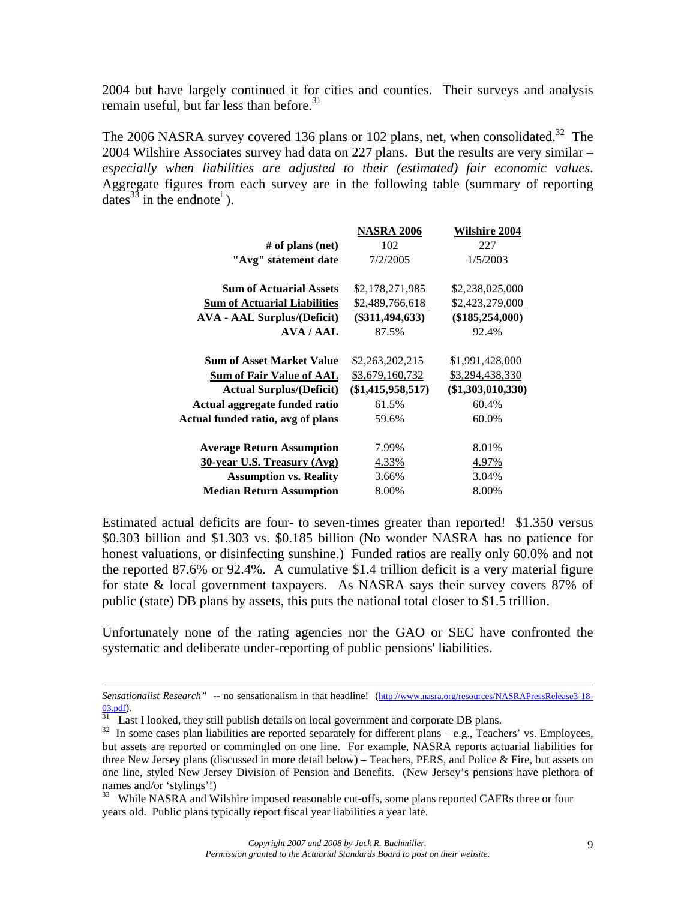2004 but have largely continued it for cities and counties. Their surveys and analysis remain useful, but far less than before.<sup>31</sup>

The 2006 NASRA survey covered 136 plans or 102 plans, net, when consolidated.<sup>32</sup> The 2004 Wilshire Associates survey had data on 227 plans. But the results are very similar – *especially when liabilities are adjusted to their (estimated) fair economic values*. Aggregate figures from each survey are in the following table (summary of reporting dates  $33$  in the endnote<sup>i</sup>).

| <b>NASRA 2006</b>   | <b>Wilshire 2004</b> |
|---------------------|----------------------|
| 102                 | 227                  |
| 7/2/2005            | 1/5/2003             |
| \$2,178,271,985     | \$2,238,025,000      |
| \$2,489,766,618     | \$2,423,279,000      |
| $(\$311,494,633)$   | $(\$185,254,000)$    |
| 87.5%               | 92.4%                |
| \$2,263,202,215     | \$1,991,428,000      |
| \$3,679,160,732     | \$3,294,438,330      |
| $(\$1,415,958,517)$ | $(\$1,303,010,330)$  |
| 61.5%               | 60.4%                |
| 59.6%               | 60.0%                |
| 7.99%               | 8.01%                |
| 4.33%               | 4.97%                |
| 3.66%               | 3.04%                |
| 8.00%               | 8.00%                |
|                     |                      |

Estimated actual deficits are four- to seven-times greater than reported! \$1.350 versus \$0.303 billion and \$1.303 vs. \$0.185 billion (No wonder NASRA has no patience for honest valuations, or disinfecting sunshine.) Funded ratios are really only 60.0% and not the reported 87.6% or 92.4%. A cumulative \$1.4 trillion deficit is a very material figure for state & local government taxpayers. As NASRA says their survey covers 87% of public (state) DB plans by assets, this puts the national total closer to \$1.5 trillion.

Unfortunately none of the rating agencies nor the GAO or SEC have confronted the systematic and deliberate under-reporting of public pensions' liabilities.

*Sensationalist Research"* -- no sensationalism in that headline! (http://www.nasra.org/resources/NASRAPressRelease3-18-  $\frac{03.pdf}{31}$  Last I looked, they still publish details on local government and corporate DB plans.

<sup>&</sup>lt;sup>32</sup> In some cases plan liabilities are reported separately for different plans – e.g., Teachers' vs. Employees, but assets are reported or commingled on one line. For example, NASRA reports actuarial liabilities for three New Jersey plans (discussed in more detail below) – Teachers, PERS, and Police & Fire, but assets on one line, styled New Jersey Division of Pension and Benefits. (New Jersey's pensions have plethora of names and/or 'stylings'!)

<sup>&</sup>lt;sup>33</sup> While NASRA and Wilshire imposed reasonable cut-offs, some plans reported CAFRs three or four years old. Public plans typically report fiscal year liabilities a year late.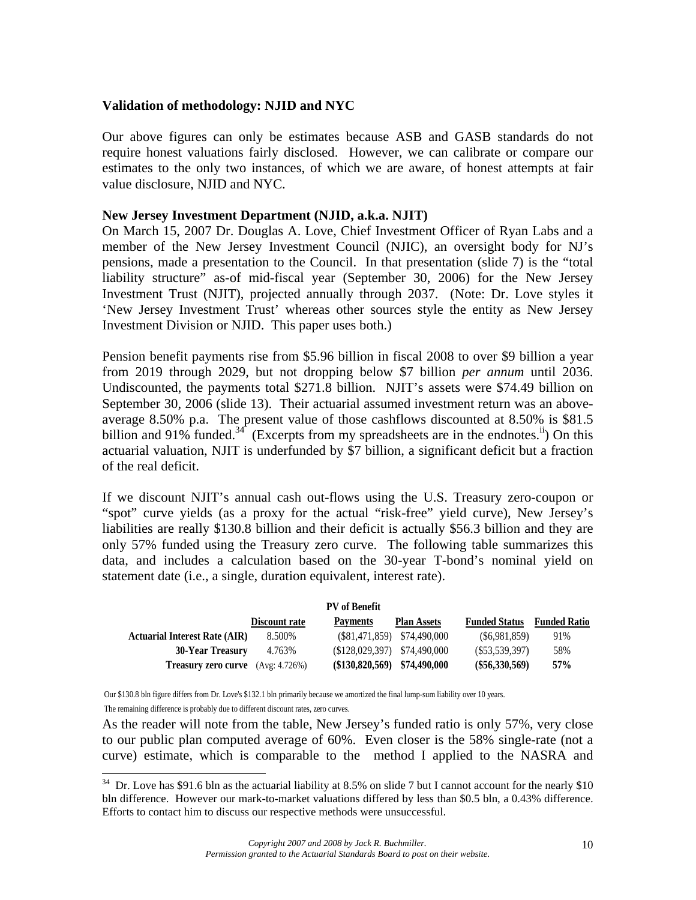### **Validation of methodology: NJID and NYC**

Our above figures can only be estimates because ASB and GASB standards do not require honest valuations fairly disclosed. However, we can calibrate or compare our estimates to the only two instances, of which we are aware, of honest attempts at fair value disclosure, NJID and NYC.

#### **New Jersey Investment Department (NJID, a.k.a. NJIT)**

On March 15, 2007 Dr. Douglas A. Love, Chief Investment Officer of Ryan Labs and a member of the New Jersey Investment Council (NJIC), an oversight body for NJ's pensions, made a presentation to the Council. In that presentation (slide 7) is the "total liability structure" as-of mid-fiscal year (September 30, 2006) for the New Jersey Investment Trust (NJIT), projected annually through 2037. (Note: Dr. Love styles it 'New Jersey Investment Trust' whereas other sources style the entity as New Jersey Investment Division or NJID. This paper uses both.)

Pension benefit payments rise from \$5.96 billion in fiscal 2008 to over \$9 billion a year from 2019 through 2029, but not dropping below \$7 billion *per annum* until 2036. Undiscounted, the payments total \$271.8 billion. NJIT's assets were \$74.49 billion on September 30, 2006 (slide 13). Their actuarial assumed investment return was an aboveaverage 8.50% p.a. The present value of those cashflows discounted at 8.50% is \$81.5 billion and 91% funded.<sup>34</sup> (Excerpts from my spreadsheets are in the endnotes.<sup>ii</sup>) On this actuarial valuation, NJIT is underfunded by \$7 billion, a significant deficit but a fraction of the real deficit.

If we discount NJIT's annual cash out-flows using the U.S. Treasury zero-coupon or "spot" curve yields (as a proxy for the actual "risk-free" yield curve), New Jersey's liabilities are really \$130.8 billion and their deficit is actually \$56.3 billion and they are only 57% funded using the Treasury zero curve. The following table summarizes this data, and includes a calculation based on the 30-year T-bond's nominal yield on statement date (i.e., a single, duration equivalent, interest rate).

| <b>PV</b> of Benefit                     |               |                                |                                |                      |                     |
|------------------------------------------|---------------|--------------------------------|--------------------------------|----------------------|---------------------|
|                                          | Discount rate | <b>Payments</b>                | <b>Plan Assets</b>             | <b>Funded Status</b> | <b>Funded Ratio</b> |
| <b>Actuarial Interest Rate (AIR)</b>     | 8.500%        |                                | $(\$81,471,859)$ $$74,490,000$ | (S6,981,859)         | 91%                 |
| <b>30-Year Treasury</b>                  | 4.763%        | $$128,029,397$ $$74,490,000$   |                                | $(\$53,539,397)$     | 58%                 |
| <b>Treasury zero curve</b> (Avg: 4.726%) |               | $($130,820,569)$ $$74,490,000$ |                                | $(\$56,330,569)$     | 57%                 |

Our \$130.8 bln figure differs from Dr. Love's \$132.1 bln primarily because we amortized the final lump-sum liability over 10 years. The remaining difference is probably due to different discount rates, zero curves.

l

As the reader will note from the table, New Jersey's funded ratio is only 57%, very close to our public plan computed average of 60%. Even closer is the 58% single-rate (not a curve) estimate, which is comparable to the method I applied to the NASRA and

 $34$  Dr. Love has \$91.6 bln as the actuarial liability at 8.5% on slide 7 but I cannot account for the nearly \$10 bln difference. However our mark-to-market valuations differed by less than \$0.5 bln, a 0.43% difference. Efforts to contact him to discuss our respective methods were unsuccessful.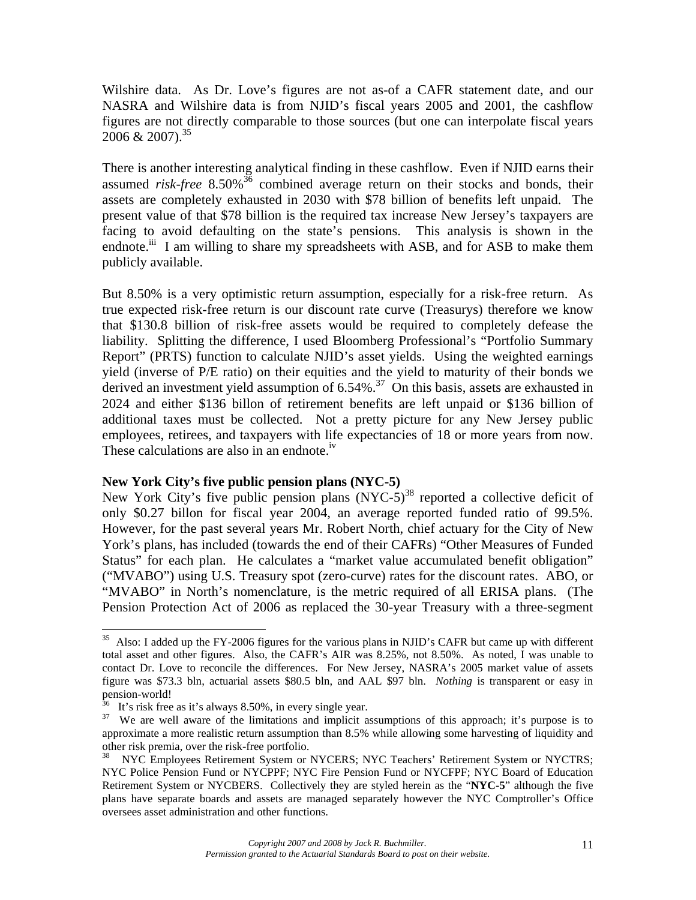Wilshire data. As Dr. Love's figures are not as-of a CAFR statement date, and our NASRA and Wilshire data is from NJID's fiscal years 2005 and 2001, the cashflow figures are not directly comparable to those sources (but one can interpolate fiscal years  $2006 \& 2007$ <sup>35</sup>

There is another interesting analytical finding in these cashflow. Even if NJID earns their assumed *risk-free* 8.50%<sup>36</sup> combined average return on their stocks and bonds, their assets are completely exhausted in 2030 with \$78 billion of benefits left unpaid. The present value of that \$78 billion is the required tax increase New Jersey's taxpayers are facing to avoid defaulting on the state's pensions. This analysis is shown in the endnote.<sup>iii</sup> I am willing to share my spreadsheets with ASB, and for ASB to make them publicly available.

But 8.50% is a very optimistic return assumption, especially for a risk-free return. As true expected risk-free return is our discount rate curve (Treasurys) therefore we know that \$130.8 billion of risk-free assets would be required to completely defease the liability. Splitting the difference, I used Bloomberg Professional's "Portfolio Summary Report" (PRTS) function to calculate NJID's asset yields. Using the weighted earnings yield (inverse of P/E ratio) on their equities and the yield to maturity of their bonds we derived an investment yield assumption of  $6.54\%$ .<sup>37</sup> On this basis, assets are exhausted in 2024 and either \$136 billon of retirement benefits are left unpaid or \$136 billion of additional taxes must be collected. Not a pretty picture for any New Jersey public employees, retirees, and taxpayers with life expectancies of 18 or more years from now. These calculations are also in an endnote.<sup>iv</sup>

#### **New York City's five public pension plans (NYC-5)**

New York City's five public pension plans  $(NYC-5)^{38}$  reported a collective deficit of only \$0.27 billon for fiscal year 2004, an average reported funded ratio of 99.5%. However, for the past several years Mr. Robert North, chief actuary for the City of New York's plans, has included (towards the end of their CAFRs) "Other Measures of Funded Status" for each plan. He calculates a "market value accumulated benefit obligation" ("MVABO") using U.S. Treasury spot (zero-curve) rates for the discount rates. ABO, or "MVABO" in North's nomenclature, is the metric required of all ERISA plans. (The Pension Protection Act of 2006 as replaced the 30-year Treasury with a three-segment

<sup>&</sup>lt;sup>35</sup> Also: I added up the FY-2006 figures for the various plans in NJID's CAFR but came up with different total asset and other figures. Also, the CAFR's AIR was 8.25%, not 8.50%. As noted, I was unable to contact Dr. Love to reconcile the differences. For New Jersey, NASRA's 2005 market value of assets figure was \$73.3 bln, actuarial assets \$80.5 bln, and AAL \$97 bln. *Nothing* is transparent or easy in pension-world!

<sup>&</sup>lt;sup>36</sup> It's risk free as it's always 8.50%, in every single year.<br><sup>37</sup> We are well aware of the limitations and implicit assumptions of this approach; it's purpose is to approximate a more realistic return assumption than 8.5% while allowing some harvesting of liquidity and other risk premia, over the risk-free portfolio.

<sup>38</sup> NYC Employees Retirement System or NYCERS; NYC Teachers' Retirement System or NYCTRS; NYC Police Pension Fund or NYCPPF; NYC Fire Pension Fund or NYCFPF; NYC Board of Education Retirement System or NYCBERS. Collectively they are styled herein as the "**NYC-5**" although the five plans have separate boards and assets are managed separately however the NYC Comptroller's Office oversees asset administration and other functions.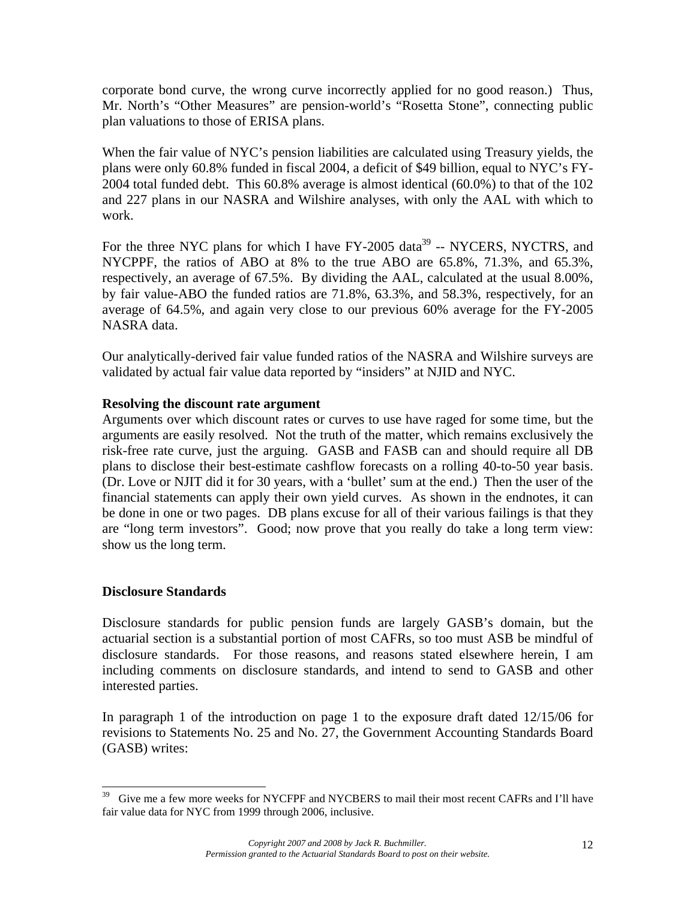corporate bond curve, the wrong curve incorrectly applied for no good reason.) Thus, Mr. North's "Other Measures" are pension-world's "Rosetta Stone", connecting public plan valuations to those of ERISA plans.

When the fair value of NYC's pension liabilities are calculated using Treasury yields, the plans were only 60.8% funded in fiscal 2004, a deficit of \$49 billion, equal to NYC's FY-2004 total funded debt. This 60.8% average is almost identical (60.0%) to that of the 102 and 227 plans in our NASRA and Wilshire analyses, with only the AAL with which to work.

For the three NYC plans for which I have FY-2005 data<sup>39</sup> -- NYCERS, NYCTRS, and NYCPPF, the ratios of ABO at 8% to the true ABO are 65.8%, 71.3%, and 65.3%, respectively, an average of 67.5%. By dividing the AAL, calculated at the usual 8.00%, by fair value-ABO the funded ratios are 71.8%, 63.3%, and 58.3%, respectively, for an average of 64.5%, and again very close to our previous 60% average for the FY-2005 NASRA data.

Our analytically-derived fair value funded ratios of the NASRA and Wilshire surveys are validated by actual fair value data reported by "insiders" at NJID and NYC.

## **Resolving the discount rate argument**

Arguments over which discount rates or curves to use have raged for some time, but the arguments are easily resolved. Not the truth of the matter, which remains exclusively the risk-free rate curve, just the arguing. GASB and FASB can and should require all DB plans to disclose their best-estimate cashflow forecasts on a rolling 40-to-50 year basis. (Dr. Love or NJIT did it for 30 years, with a 'bullet' sum at the end.) Then the user of the financial statements can apply their own yield curves. As shown in the endnotes, it can be done in one or two pages. DB plans excuse for all of their various failings is that they are "long term investors". Good; now prove that you really do take a long term view: show us the long term.

### **Disclosure Standards**

Disclosure standards for public pension funds are largely GASB's domain, but the actuarial section is a substantial portion of most CAFRs, so too must ASB be mindful of disclosure standards. For those reasons, and reasons stated elsewhere herein, I am including comments on disclosure standards, and intend to send to GASB and other interested parties.

In paragraph 1 of the introduction on page 1 to the exposure draft dated 12/15/06 for revisions to Statements No. 25 and No. 27, the Government Accounting Standards Board (GASB) writes:

<sup>39</sup> Give me a few more weeks for NYCFPF and NYCBERS to mail their most recent CAFRs and I'll have fair value data for NYC from 1999 through 2006, inclusive.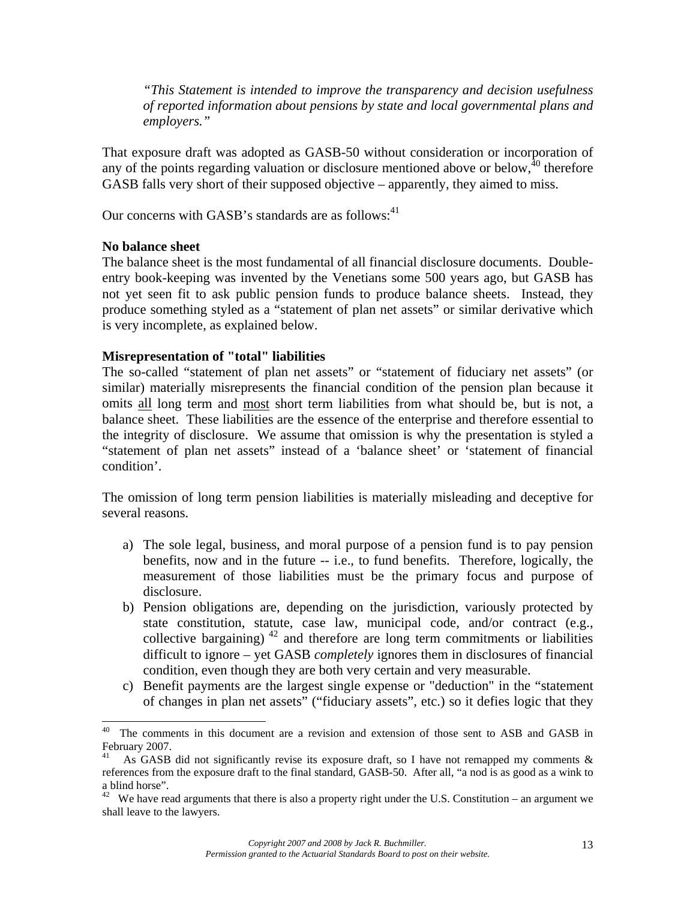*"This Statement is intended to improve the transparency and decision usefulness of reported information about pensions by state and local governmental plans and employers."*

That exposure draft was adopted as GASB-50 without consideration or incorporation of any of the points regarding valuation or disclosure mentioned above or below,  $40$  therefore GASB falls very short of their supposed objective – apparently, they aimed to miss.

Our concerns with GASB's standards are as follows: $41$ 

#### **No balance sheet**

The balance sheet is the most fundamental of all financial disclosure documents. Doubleentry book-keeping was invented by the Venetians some 500 years ago, but GASB has not yet seen fit to ask public pension funds to produce balance sheets. Instead, they produce something styled as a "statement of plan net assets" or similar derivative which is very incomplete, as explained below.

### **Misrepresentation of "total" liabilities**

The so-called "statement of plan net assets" or "statement of fiduciary net assets" (or similar) materially misrepresents the financial condition of the pension plan because it omits all long term and most short term liabilities from what should be, but is not, a balance sheet. These liabilities are the essence of the enterprise and therefore essential to the integrity of disclosure. We assume that omission is why the presentation is styled a "statement of plan net assets" instead of a 'balance sheet' or 'statement of financial condition'.

The omission of long term pension liabilities is materially misleading and deceptive for several reasons.

- a) The sole legal, business, and moral purpose of a pension fund is to pay pension benefits, now and in the future -- i.e., to fund benefits. Therefore, logically, the measurement of those liabilities must be the primary focus and purpose of disclosure.
- b) Pension obligations are, depending on the jurisdiction, variously protected by state constitution, statute, case law, municipal code, and/or contract (e.g., collective bargaining)  $42$  and therefore are long term commitments or liabilities difficult to ignore – yet GASB *completely* ignores them in disclosures of financial condition, even though they are both very certain and very measurable.
- c) Benefit payments are the largest single expense or "deduction" in the "statement of changes in plan net assets" ("fiduciary assets", etc.) so it defies logic that they

<sup>40</sup> 40 The comments in this document are a revision and extension of those sent to ASB and GASB in February 2007.

As GASB did not significantly revise its exposure draft, so I have not remapped my comments  $\&$ references from the exposure draft to the final standard, GASB-50. After all, "a nod is as good as a wink to a blind horse".

 $42$  We have read arguments that there is also a property right under the U.S. Constitution – an argument we shall leave to the lawyers.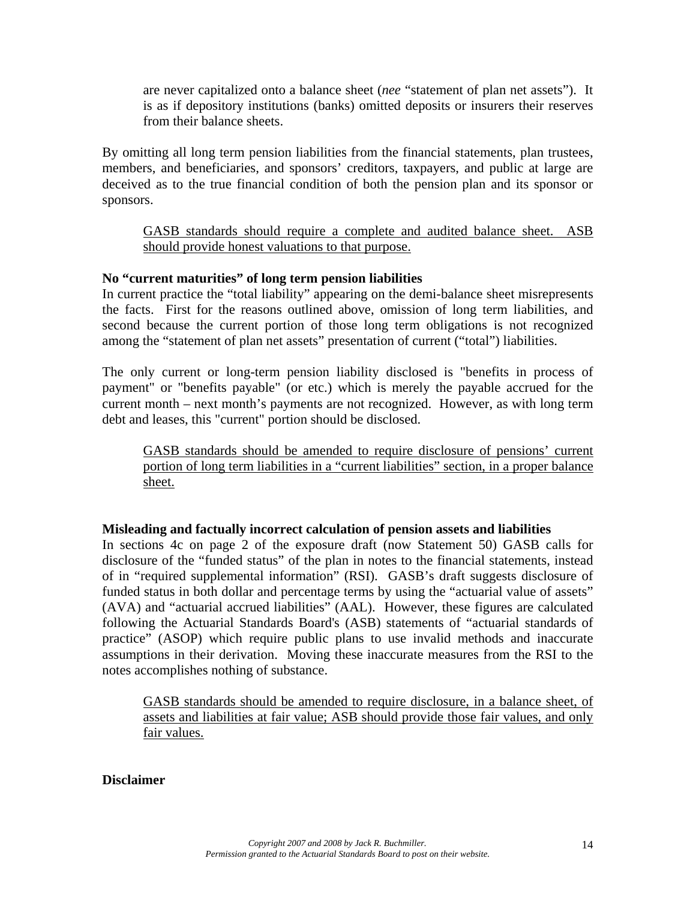are never capitalized onto a balance sheet (*nee* "statement of plan net assets"). It is as if depository institutions (banks) omitted deposits or insurers their reserves from their balance sheets.

By omitting all long term pension liabilities from the financial statements, plan trustees, members, and beneficiaries, and sponsors' creditors, taxpayers, and public at large are deceived as to the true financial condition of both the pension plan and its sponsor or sponsors.

GASB standards should require a complete and audited balance sheet. ASB should provide honest valuations to that purpose.

## **No "current maturities" of long term pension liabilities**

In current practice the "total liability" appearing on the demi-balance sheet misrepresents the facts. First for the reasons outlined above, omission of long term liabilities, and second because the current portion of those long term obligations is not recognized among the "statement of plan net assets" presentation of current ("total") liabilities.

The only current or long-term pension liability disclosed is "benefits in process of payment" or "benefits payable" (or etc.) which is merely the payable accrued for the current month – next month's payments are not recognized. However, as with long term debt and leases, this "current" portion should be disclosed.

GASB standards should be amended to require disclosure of pensions' current portion of long term liabilities in a "current liabilities" section, in a proper balance sheet.

### **Misleading and factually incorrect calculation of pension assets and liabilities**

In sections 4c on page 2 of the exposure draft (now Statement 50) GASB calls for disclosure of the "funded status" of the plan in notes to the financial statements, instead of in "required supplemental information" (RSI). GASB's draft suggests disclosure of funded status in both dollar and percentage terms by using the "actuarial value of assets" (AVA) and "actuarial accrued liabilities" (AAL). However, these figures are calculated following the Actuarial Standards Board's (ASB) statements of "actuarial standards of practice" (ASOP) which require public plans to use invalid methods and inaccurate assumptions in their derivation. Moving these inaccurate measures from the RSI to the notes accomplishes nothing of substance.

GASB standards should be amended to require disclosure, in a balance sheet, of assets and liabilities at fair value; ASB should provide those fair values, and only fair values.

### **Disclaimer**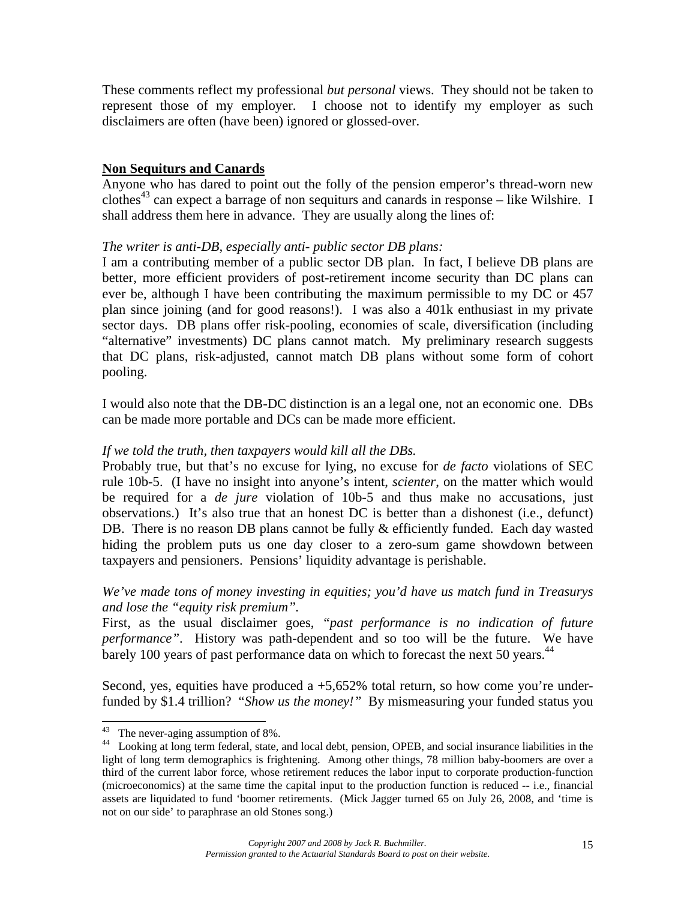These comments reflect my professional *but personal* views. They should not be taken to represent those of my employer. I choose not to identify my employer as such disclaimers are often (have been) ignored or glossed-over.

## **Non Sequiturs and Canards**

Anyone who has dared to point out the folly of the pension emperor's thread-worn new clothes<sup>43</sup> can expect a barrage of non sequiturs and canards in response – like Wilshire. I shall address them here in advance. They are usually along the lines of:

## *The writer is anti-DB, especially anti- public sector DB plans:*

I am a contributing member of a public sector DB plan. In fact, I believe DB plans are better, more efficient providers of post-retirement income security than DC plans can ever be, although I have been contributing the maximum permissible to my DC or 457 plan since joining (and for good reasons!). I was also a 401k enthusiast in my private sector days. DB plans offer risk-pooling, economies of scale, diversification (including "alternative" investments) DC plans cannot match. My preliminary research suggests that DC plans, risk-adjusted, cannot match DB plans without some form of cohort pooling.

I would also note that the DB-DC distinction is an a legal one, not an economic one. DBs can be made more portable and DCs can be made more efficient.

### *If we told the truth, then taxpayers would kill all the DBs.*

Probably true, but that's no excuse for lying, no excuse for *de facto* violations of SEC rule 10b-5. (I have no insight into anyone's intent, *scienter*, on the matter which would be required for a *de jure* violation of 10b-5 and thus make no accusations, just observations.) It's also true that an honest DC is better than a dishonest (i.e., defunct) DB. There is no reason DB plans cannot be fully & efficiently funded. Each day wasted hiding the problem puts us one day closer to a zero-sum game showdown between taxpayers and pensioners. Pensions' liquidity advantage is perishable.

## *We've made tons of money investing in equities; you'd have us match fund in Treasurys and lose the "equity risk premium".*

First, as the usual disclaimer goes, *"past performance is no indication of future performance"*. History was path-dependent and so too will be the future. We have barely 100 years of past performance data on which to forecast the next 50 years.<sup>44</sup>

Second, yes, equities have produced a  $+5,652\%$  total return, so how come you're underfunded by \$1.4 trillion? "*Show us the money!"* By mismeasuring your funded status you

 $43$  The never-aging assumption of 8%.

<sup>44</sup> Looking at long term federal, state, and local debt, pension, OPEB, and social insurance liabilities in the light of long term demographics is frightening. Among other things, 78 million baby-boomers are over a third of the current labor force, whose retirement reduces the labor input to corporate production-function (microeconomics) at the same time the capital input to the production function is reduced -- i.e., financial assets are liquidated to fund 'boomer retirements. (Mick Jagger turned 65 on July 26, 2008, and 'time is not on our side' to paraphrase an old Stones song.)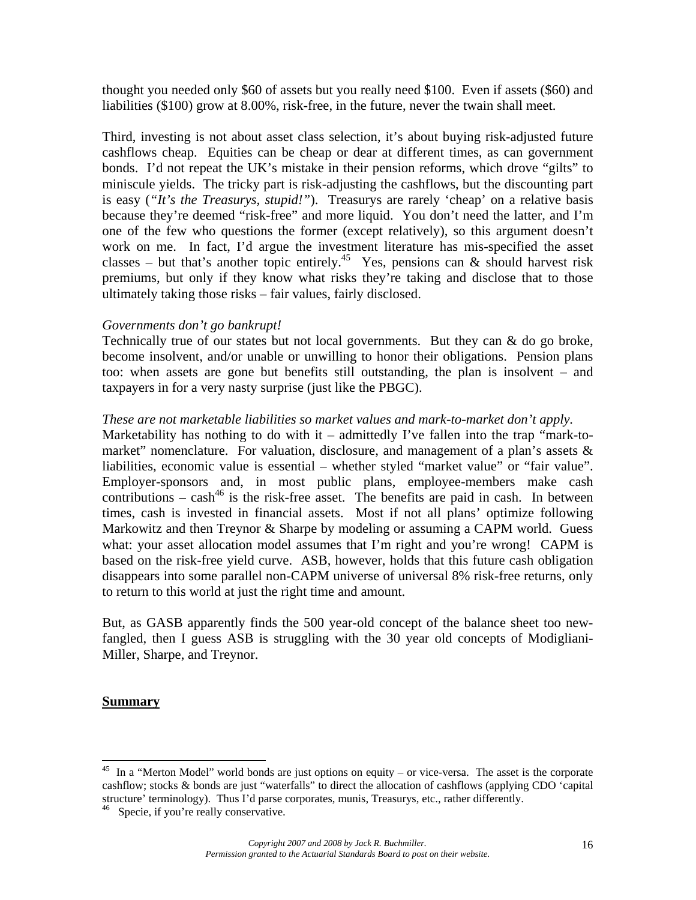thought you needed only \$60 of assets but you really need \$100. Even if assets (\$60) and liabilities (\$100) grow at 8.00%, risk-free, in the future, never the twain shall meet.

Third, investing is not about asset class selection, it's about buying risk-adjusted future cashflows cheap. Equities can be cheap or dear at different times, as can government bonds. I'd not repeat the UK's mistake in their pension reforms, which drove "gilts" to miniscule yields. The tricky part is risk-adjusting the cashflows, but the discounting part is easy (*"It's the Treasurys, stupid!"*). Treasurys are rarely 'cheap' on a relative basis because they're deemed "risk-free" and more liquid. You don't need the latter, and I'm one of the few who questions the former (except relatively), so this argument doesn't work on me. In fact, I'd argue the investment literature has mis-specified the asset classes – but that's another topic entirely.<sup>45</sup> Yes, pensions can  $\&$  should harvest risk premiums, but only if they know what risks they're taking and disclose that to those ultimately taking those risks – fair values, fairly disclosed.

#### *Governments don't go bankrupt!*

Technically true of our states but not local governments. But they can  $\&$  do go broke, become insolvent, and/or unable or unwilling to honor their obligations. Pension plans too: when assets are gone but benefits still outstanding, the plan is insolvent – and taxpayers in for a very nasty surprise (just like the PBGC).

#### *These are not marketable liabilities so market values and mark-to-market don't apply.*

Marketability has nothing to do with it – admittedly I've fallen into the trap "mark-tomarket" nomenclature. For valuation, disclosure, and management of a plan's assets  $\&$ liabilities, economic value is essential – whether styled "market value" or "fair value". Employer-sponsors and, in most public plans, employee-members make cash contributions –  $cash<sup>46</sup>$  is the risk-free asset. The benefits are paid in cash. In between times, cash is invested in financial assets. Most if not all plans' optimize following Markowitz and then Treynor & Sharpe by modeling or assuming a CAPM world. Guess what: your asset allocation model assumes that I'm right and you're wrong! CAPM is based on the risk-free yield curve. ASB, however, holds that this future cash obligation disappears into some parallel non-CAPM universe of universal 8% risk-free returns, only to return to this world at just the right time and amount.

But, as GASB apparently finds the 500 year-old concept of the balance sheet too newfangled, then I guess ASB is struggling with the 30 year old concepts of Modigliani-Miller, Sharpe, and Treynor.

#### **Summary**

 $45$  In a "Merton Model" world bonds are just options on equity – or vice-versa. The asset is the corporate cashflow; stocks & bonds are just "waterfalls" to direct the allocation of cashflows (applying CDO 'capital structure' terminology). Thus I'd parse corporates, munis, Treasurys, etc., rather differently.

Specie, if you're really conservative.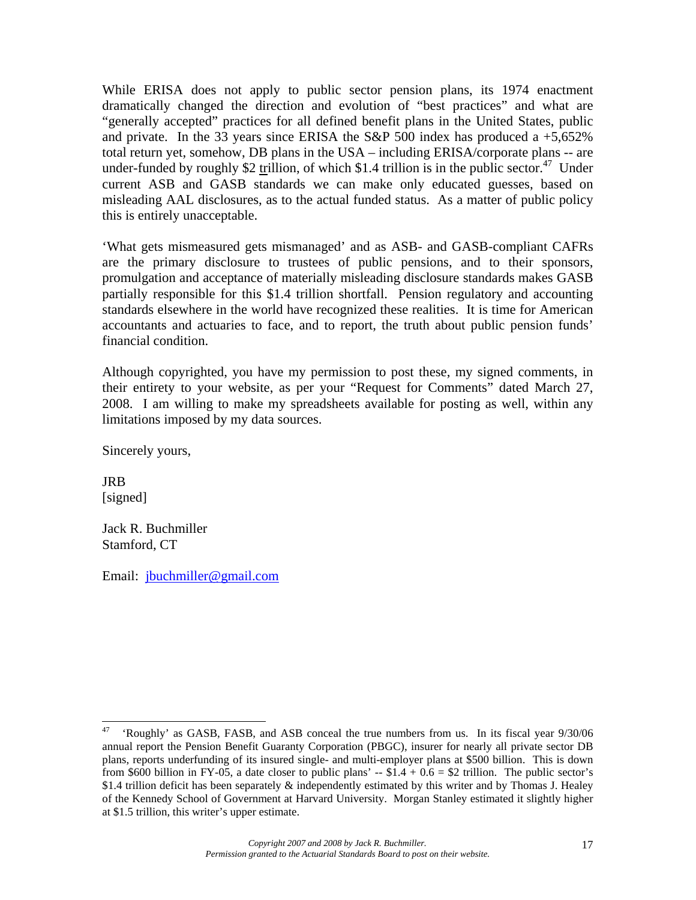While ERISA does not apply to public sector pension plans, its 1974 enactment dramatically changed the direction and evolution of "best practices" and what are "generally accepted" practices for all defined benefit plans in the United States, public and private. In the 33 years since ERISA the S&P 500 index has produced a  $+5,652\%$ total return yet, somehow, DB plans in the USA – including ERISA/corporate plans -- are under-funded by roughly \$2 trillion, of which \$1.4 trillion is in the public sector.<sup>47</sup> Under current ASB and GASB standards we can make only educated guesses, based on misleading AAL disclosures, as to the actual funded status. As a matter of public policy this is entirely unacceptable.

'What gets mismeasured gets mismanaged' and as ASB- and GASB-compliant CAFRs are the primary disclosure to trustees of public pensions, and to their sponsors, promulgation and acceptance of materially misleading disclosure standards makes GASB partially responsible for this \$1.4 trillion shortfall. Pension regulatory and accounting standards elsewhere in the world have recognized these realities. It is time for American accountants and actuaries to face, and to report, the truth about public pension funds' financial condition.

Although copyrighted, you have my permission to post these, my signed comments, in their entirety to your website, as per your "Request for Comments" dated March 27, 2008. I am willing to make my spreadsheets available for posting as well, within any limitations imposed by my data sources.

Sincerely yours,

JRB [signed]

Jack R. Buchmiller Stamford, CT

Email: jbuchmiller@gmail.com

<sup>47</sup> 47 'Roughly' as GASB, FASB, and ASB conceal the true numbers from us. In its fiscal year 9/30/06 annual report the Pension Benefit Guaranty Corporation (PBGC), insurer for nearly all private sector DB plans, reports underfunding of its insured single- and multi-employer plans at \$500 billion. This is down from \$600 billion in FY-05, a date closer to public plans'  $-$  \$1.4 + 0.6 = \$2 trillion. The public sector's \$1.4 trillion deficit has been separately  $\&$  independently estimated by this writer and by Thomas J. Healey of the Kennedy School of Government at Harvard University. Morgan Stanley estimated it slightly higher at \$1.5 trillion, this writer's upper estimate.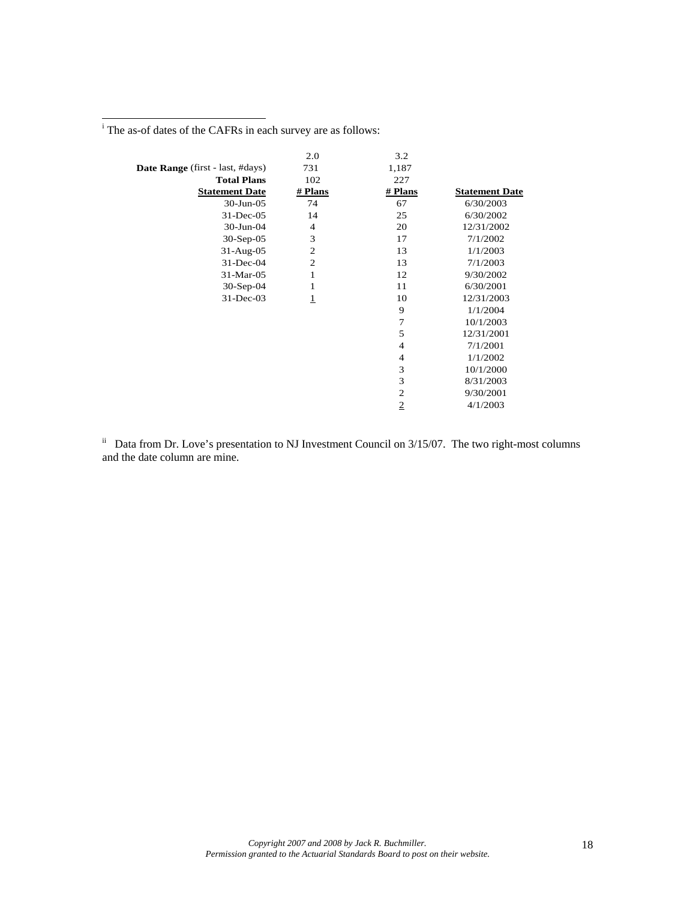<sup>i</sup> The as-of dates of the CAFRs in each survey are as follows:

|                                         | 2.0            | 3.2            |                       |
|-----------------------------------------|----------------|----------------|-----------------------|
| <b>Date Range</b> (first - last, #days) | 731            | 1,187          |                       |
| <b>Total Plans</b>                      | 102            | 227            |                       |
| <b>Statement Date</b>                   | # Plans        | # Plans        | <b>Statement Date</b> |
| $30$ -Jun- $05$                         | 74             | 67             | 6/30/2003             |
| $31$ -Dec-05                            | 14             | 25             | 6/30/2002             |
| 30-Jun-04                               | $\overline{4}$ | 20             | 12/31/2002            |
| $30-Sep-05$                             | 3              | 17             | 7/1/2002              |
| $31-Aug-05$                             | $\overline{2}$ | 13             | 1/1/2003              |
| 31-Dec-04                               | $\overline{2}$ | 13             | 7/1/2003              |
| 31-Mar-05                               | 1              | 12             | 9/30/2002             |
| $30-Sep-04$                             | 1              | 11             | 6/30/2001             |
| 31-Dec-03                               | $\mathbf 1$    | 10             | 12/31/2003            |
|                                         |                | 9              | 1/1/2004              |
|                                         |                | 7              | 10/1/2003             |
|                                         |                | 5              | 12/31/2001            |
|                                         |                | 4              | 7/1/2001              |
|                                         |                | 4              | 1/1/2002              |
|                                         |                | 3              | 10/1/2000             |
|                                         |                | 3              | 8/31/2003             |
|                                         |                | $\overline{c}$ | 9/30/2001             |
|                                         |                | $\overline{2}$ | 4/1/2003              |

 $\mu$ <sup>ii</sup> Data from Dr. Love's presentation to NJ Investment Council on 3/15/07. The two right-most columns and the date column are mine.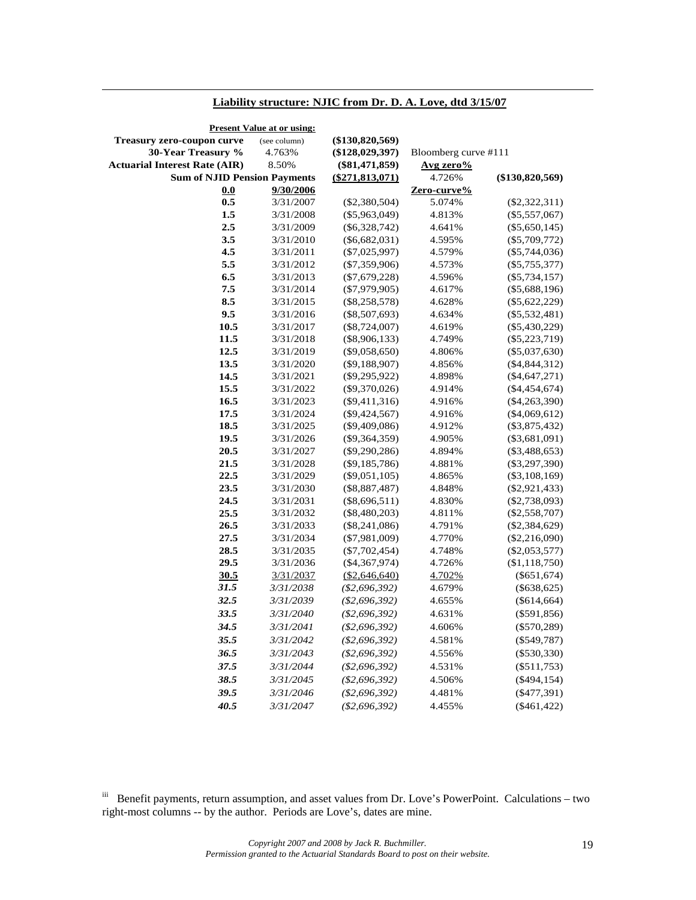#### **Liability structure: NJIC from Dr. D. A. Love, dtd 3/15/07**

-

| <b>Present Value at or using:</b>    |              |                    |                      |                   |
|--------------------------------------|--------------|--------------------|----------------------|-------------------|
| <b>Treasury zero-coupon curve</b>    | (see column) | $(\$130,820,569)$  |                      |                   |
| 30-Year Treasury %                   | 4.763%       | $(\$128,029,397)$  | Bloomberg curve #111 |                   |
| <b>Actuarial Interest Rate (AIR)</b> | 8.50%        | $(\$81,471,859)$   | Avg zero%            |                   |
| <b>Sum of NJID Pension Payments</b>  |              | ( \$271, 813, 071) | 4.726%               | $(\$130,820,569)$ |
| 0.0                                  | 9/30/2006    |                    | Zero-curve%          |                   |
| 0.5                                  | 3/31/2007    | $(\$2,380,504)$    | 5.074%               | $(\$2,322,311)$   |
| 1.5                                  | 3/31/2008    | $(\$5,963,049)$    | 4.813%               | $(\$5,557,067)$   |
| 2.5                                  | 3/31/2009    | $(\$6,328,742)$    | 4.641%               | $(\$5,650,145)$   |
| 3.5                                  | 3/31/2010    | $(\$6,682,031)$    | 4.595%               | $(\$5,709,772)$   |
| 4.5                                  | 3/31/2011    | $(\$7,025,997)$    | 4.579%               | $(\$5,744,036)$   |
| 5.5                                  | 3/31/2012    | $(\$7,359,906)$    | 4.573%               | $(\$5,755,377)$   |
| 6.5                                  | 3/31/2013    | $(\$7,679,228)$    | 4.596%               | $(\$5,734,157)$   |
| $7.5\,$                              | 3/31/2014    | $(\$7,979,905)$    | 4.617%               | $(\$5,688,196)$   |
| 8.5                                  | 3/31/2015    | $(\$8,258,578)$    | 4.628%               | $(\$5,622,229)$   |
| 9.5                                  | 3/31/2016    | $(\$8,507,693)$    | 4.634%               | $(\$5,532,481)$   |
| 10.5                                 | 3/31/2017    | $(\$8,724,007)$    | 4.619%               | $(\$5,430,229)$   |
| 11.5                                 | 3/31/2018    | $(\$8,906,133)$    | 4.749%               | $(\$5,223,719)$   |
| 12.5                                 | 3/31/2019    | $(\$9,058,650)$    | 4.806%               | $(\$5,037,630)$   |
| 13.5                                 | 3/31/2020    | $(\$9,188,907)$    | 4.856%               | $(\$4,844,312)$   |
| 14.5                                 | 3/31/2021    | $(\$9,295,922)$    | 4.898%               | $(\$4,647,271)$   |
| 15.5                                 | 3/31/2022    | $(\$9,370,026)$    | 4.914%               | $(\$4,454,674)$   |
| 16.5                                 | 3/31/2023    | $(\$9,411,316)$    | 4.916%               | $(\$4,263,390)$   |
| 17.5                                 | 3/31/2024    | $(\$9,424,567)$    | 4.916%               | $(\$4,069,612)$   |
| 18.5                                 | 3/31/2025    | $(\$9,409,086)$    | 4.912%               | $(\$3,875,432)$   |
| 19.5                                 | 3/31/2026    | $(\$9,364,359)$    | 4.905%               | $(\$3,681,091)$   |
| 20.5                                 | 3/31/2027    | $(\$9,290,286)$    | 4.894%               | $(\$3,488,653)$   |
| 21.5                                 | 3/31/2028    | $(\$9,185,786)$    | 4.881%               | $(\$3,297,390)$   |
| 22.5                                 | 3/31/2029    | $(\$9,051,105)$    | 4.865%               | $(\$3,108,169)$   |
| 23.5                                 | 3/31/2030    | $(\$8,887,487)$    | 4.848%               | $(\$2,921,433)$   |
| 24.5                                 | 3/31/2031    | $(\$8,696,511)$    | 4.830%               | $(\$2,738,093)$   |
| 25.5                                 | 3/31/2032    | $(\$8,480,203)$    | 4.811%               | $(\$2,558,707)$   |
| 26.5                                 | 3/31/2033    | $(\$8,241,086)$    | 4.791%               | $(\$2,384,629)$   |
| 27.5                                 | 3/31/2034    | $(\$7,981,009)$    | 4.770%               | $(\$2,216,090)$   |
| 28.5                                 | 3/31/2035    | $(\$7,702,454)$    | 4.748%               | $(\$2,053,577)$   |
| 29.5                                 | 3/31/2036    | $(*4,367,974)$     | 4.726%               | (\$1,118,750)     |
| 30.5                                 | 3/31/2037    | $(\$2,646,640)$    | 4.702%               | $(\$651,674)$     |
| 31.5                                 | 3/31/2038    | $(\$2,696,392)$    | 4.679%               | $(\$638,625)$     |
| 32.5                                 | 3/31/2039    | $(\$2,696,392)$    | 4.655%               | $(\$614,664)$     |
| 33.5                                 | 3/31/2040    | $(\$2,696,392)$    | 4.631%               | $(\$591,856)$     |
| 34.5                                 | 3/31/2041    | (\$2,696,392)      | 4.606%               | $(\$570,289)$     |
| 35.5                                 | 3/31/2042    | $(\$2,696,392)$    | 4.581%               | $(\$549,787)$     |
| 36.5                                 | 3/31/2043    | $(\$2,696,392)$    | 4.556%               | $(\$530,330)$     |
| 37.5                                 | 3/31/2044    | (\$2,696,392)      | 4.531%               | $(\$511,753)$     |
| 38.5                                 | 3/31/2045    | (\$2,696,392)      | 4.506%               | $(\$494,154)$     |
| 39.5                                 | 3/31/2046    | (\$2,696,392)      | 4.481%               | $(\$477,391)$     |
| 40.5                                 | 3/31/2047    | $(\$2,696,392)$    | 4.455%               | $(\$461,422)$     |
|                                      |              |                    |                      |                   |

iii Benefit payments, return assumption, and asset values from Dr. Love's PowerPoint. Calculations – two right-most columns -- by the author. Periods are Love's, dates are mine.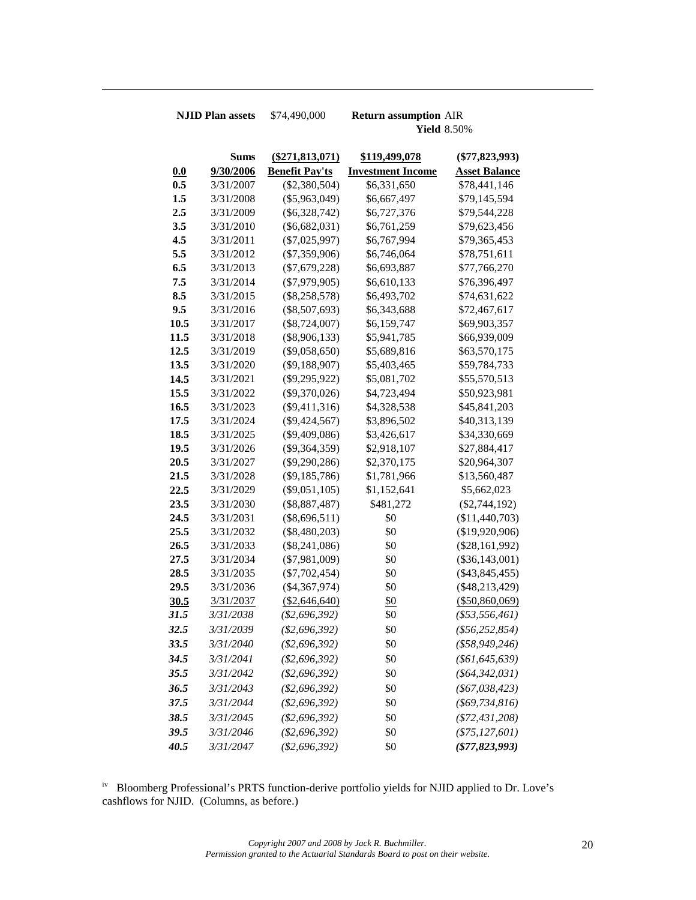-

**NJID Plan assets** \$74,490,000 **Return assumption** AIR **Yield** 8.50%

|            | <b>Sums</b>      | $(\$271,813,071)$     | \$119,499,078            | $(\$77,823,993)$     |
|------------|------------------|-----------------------|--------------------------|----------------------|
| <u>0.0</u> | 9/30/2006        | <b>Benefit Pay'ts</b> | <b>Investment Income</b> | <b>Asset Balance</b> |
| 0.5        | 3/31/2007        | $(\$2,380,504)$       | \$6,331,650              | \$78,441,146         |
| 1.5        | 3/31/2008        | $(\$5,963,049)$       | \$6,667,497              | \$79,145,594         |
| 2.5        | 3/31/2009        | $(\$6,328,742)$       | \$6,727,376              | \$79,544,228         |
| 3.5        | 3/31/2010        | $(\$6,682,031)$       | \$6,761,259              | \$79,623,456         |
| 4.5        | 3/31/2011        | $(\$7,025,997)$       | \$6,767,994              | \$79,365,453         |
| 5.5        | 3/31/2012        | $(\$7,359,906)$       | \$6,746,064              | \$78,751,611         |
| 6.5        | 3/31/2013        | $(\$7,679,228)$       | \$6,693,887              | \$77,766,270         |
| 7.5        | 3/31/2014        | $(\$7,979,905)$       | \$6,610,133              | \$76,396,497         |
| 8.5        | 3/31/2015        | $(\$8,258,578)$       | \$6,493,702              | \$74,631,622         |
| 9.5        | 3/31/2016        | $(\$8,507,693)$       | \$6,343,688              | \$72,467,617         |
| 10.5       | 3/31/2017        | $(\$8,724,007)$       | \$6,159,747              | \$69,903,357         |
| 11.5       | 3/31/2018        | $(\$8,906,133)$       | \$5,941,785              | \$66,939,009         |
| 12.5       | 3/31/2019        | $(\$9,058,650)$       | \$5,689,816              | \$63,570,175         |
| 13.5       | 3/31/2020        | $(\$9,188,907)$       | \$5,403,465              | \$59,784,733         |
| 14.5       | 3/31/2021        | $(\$9,295,922)$       | \$5,081,702              | \$55,570,513         |
| 15.5       | 3/31/2022        | $(\$9,370,026)$       | \$4,723,494              | \$50,923,981         |
| 16.5       | 3/31/2023        | $(\$9,411,316)$       | \$4,328,538              | \$45,841,203         |
| 17.5       | 3/31/2024        | $(\$9,424,567)$       | \$3,896,502              | \$40,313,139         |
| 18.5       | 3/31/2025        | $(\$9,409,086)$       | \$3,426,617              | \$34,330,669         |
| 19.5       | 3/31/2026        | $(\$9,364,359)$       | \$2,918,107              | \$27,884,417         |
| 20.5       | 3/31/2027        | $(\$9,290,286)$       | \$2,370,175              | \$20,964,307         |
| 21.5       | 3/31/2028        | $(\$9,185,786)$       | \$1,781,966              | \$13,560,487         |
| 22.5       | 3/31/2029        | $(\$9,051,105)$       | \$1,152,641              | \$5,662,023          |
| 23.5       | 3/31/2030        | $(\$8,887,487)$       | \$481,272                | $(\$2,744,192)$      |
| 24.5       | 3/31/2031        | $(\$8,696,511)$       | \$0                      | (\$11,440,703)       |
| 25.5       | 3/31/2032        | $(\$8,480,203)$       | \$0                      | (\$19,920,906)       |
| 26.5       | 3/31/2033        | $(\$8,241,086)$       | \$0                      | $(\$28,161,992)$     |
| 27.5       | 3/31/2034        | $(\$7,981,009)$       | \$0                      | $(\$36,143,001)$     |
| 28.5       | 3/31/2035        | $(\$7,702,454)$       | \$0                      | $(\$43,845,455)$     |
| 29.5       | 3/31/2036        | $(\$4,367,974)$       | \$0                      | $(\$48,213,429)$     |
| 30.5       | 3/31/2037        | (\$2,646,640)         | <u>\$0</u>               | $($ \$50,860,069)    |
| 31.5       | 3/31/2038        | $(\$2,696,392)$       | \$0                      | $(\$53,556,461)$     |
| 32.5       | 3/31/2039        | $(\$2,696,392)$       | \$0                      | $(\$56, 252, 854)$   |
| 33.5       | 3/31/2040        | (\$2,696,392)         | \$0                      | $(*58,949,246)$      |
| 34.5       | 3/31/2041        | (\$2,696,392)         | \$0                      | $(\$61,645,639)$     |
| 35.5       | <i>3/31/2042</i> | $(\$2,696,392)$       | \$0                      | ( \$64, 342, 031)    |
| 36.5       | 3/31/2043        | $(\$2,696,392)$       | \$0                      | $(\$67,038,423)$     |
| 37.5       | 3/31/2044        | $(\$2,696,392)$       | \$0                      | $(\$69,734,816)$     |
| 38.5       | 3/31/2045        | $(\$2,696,392)$       | \$0                      | $(\$72,431,208)$     |
| 39.5       | 3/31/2046        | (\$2,696,392)         | \$0                      | $(\$75, 127, 601)$   |
| 40.5       | 3/31/2047        | $(\$2,696,392)$       | \$0                      | $(\$77,823,993)$     |

iv Bloomberg Professional's PRTS function-derive portfolio yields for NJID applied to Dr. Love's cashflows for NJID. (Columns, as before.)